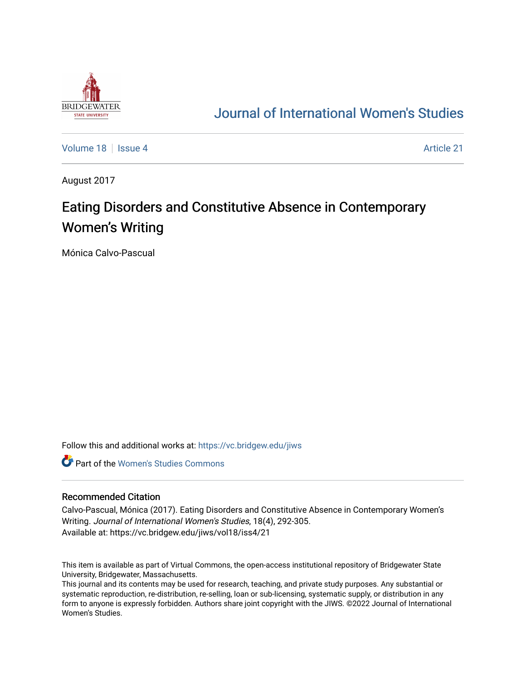

## [Journal of International Women's Studies](https://vc.bridgew.edu/jiws)

[Volume 18](https://vc.bridgew.edu/jiws/vol18) September 21 Article 21

August 2017

# Eating Disorders and Constitutive Absence in Contemporary Women's Writing

Mónica Calvo-Pascual

Follow this and additional works at: [https://vc.bridgew.edu/jiws](https://vc.bridgew.edu/jiws?utm_source=vc.bridgew.edu%2Fjiws%2Fvol18%2Fiss4%2F21&utm_medium=PDF&utm_campaign=PDFCoverPages)

**C** Part of the Women's Studies Commons

#### Recommended Citation

Calvo-Pascual, Mónica (2017). Eating Disorders and Constitutive Absence in Contemporary Women's Writing. Journal of International Women's Studies, 18(4), 292-305. Available at: https://vc.bridgew.edu/jiws/vol18/iss4/21

This item is available as part of Virtual Commons, the open-access institutional repository of Bridgewater State University, Bridgewater, Massachusetts.

This journal and its contents may be used for research, teaching, and private study purposes. Any substantial or systematic reproduction, re-distribution, re-selling, loan or sub-licensing, systematic supply, or distribution in any form to anyone is expressly forbidden. Authors share joint copyright with the JIWS. ©2022 Journal of International Women's Studies.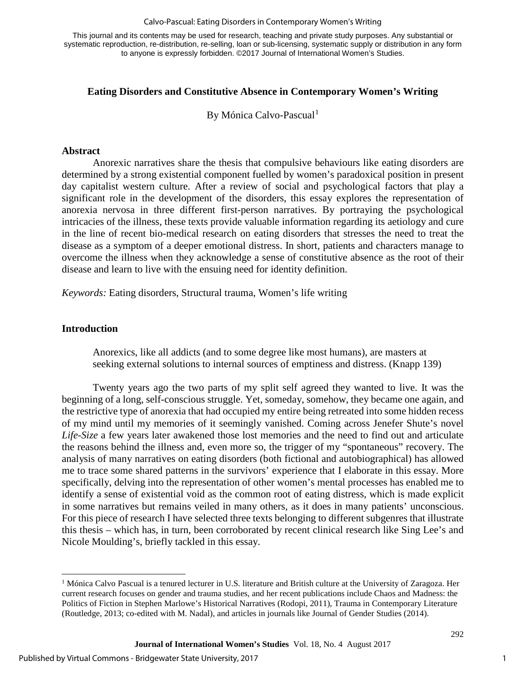#### Calvo-Pascual: Eating Disorders in Contemporary Women's Writing

This journal and its contents may be used for research, teaching and private study purposes. Any substantial or systematic reproduction, re-distribution, re-selling, loan or sub-licensing, systematic supply or distribution in any form to anyone is expressly forbidden. ©2017 Journal of International Women's Studies.

#### **Eating Disorders and Constitutive Absence in Contemporary Women's Writing**

By Mónica Calvo-Pascual<sup>[1](#page-1-0)</sup>

#### **Abstract**

Anorexic narratives share the thesis that compulsive behaviours like eating disorders are determined by a strong existential component fuelled by women's paradoxical position in present day capitalist western culture. After a review of social and psychological factors that play a significant role in the development of the disorders, this essay explores the representation of anorexia nervosa in three different first-person narratives. By portraying the psychological intricacies of the illness, these texts provide valuable information regarding its aetiology and cure in the line of recent bio-medical research on eating disorders that stresses the need to treat the disease as a symptom of a deeper emotional distress. In short, patients and characters manage to overcome the illness when they acknowledge a sense of constitutive absence as the root of their disease and learn to live with the ensuing need for identity definition.

*Keywords:* Eating disorders, Structural trauma, Women's life writing

#### **Introduction**

l

Anorexics, like all addicts (and to some degree like most humans), are masters at seeking external solutions to internal sources of emptiness and distress. (Knapp 139)

Twenty years ago the two parts of my split self agreed they wanted to live. It was the beginning of a long, self-conscious struggle. Yet, someday, somehow, they became one again, and the restrictive type of anorexia that had occupied my entire being retreated into some hidden recess of my mind until my memories of it seemingly vanished. Coming across Jenefer Shute's novel *Life-Size* a few years later awakened those lost memories and the need to find out and articulate the reasons behind the illness and, even more so, the trigger of my "spontaneous" recovery. The analysis of many narratives on eating disorders (both fictional and autobiographical) has allowed me to trace some shared patterns in the survivors' experience that I elaborate in this essay. More specifically, delving into the representation of other women's mental processes has enabled me to identify a sense of existential void as the common root of eating distress, which is made explicit in some narratives but remains veiled in many others, as it does in many patients' unconscious. For this piece of research I have selected three texts belonging to different subgenres that illustrate this thesis – which has, in turn, been corroborated by recent clinical research like Sing Lee's and Nicole Moulding's, briefly tackled in this essay.

<span id="page-1-0"></span> $<sup>1</sup>$  Mónica Calvo Pascual is a tenured lecturer in U.S. literature and British culture at the University of Zaragoza. Her</sup> current research focuses on gender and trauma studies, and her recent publications include Chaos and Madness: the Politics of Fiction in Stephen Marlowe's Historical Narratives (Rodopi, 2011), Trauma in Contemporary Literature (Routledge, 2013; co-edited with M. Nadal), and articles in journals like Journal of Gender Studies (2014).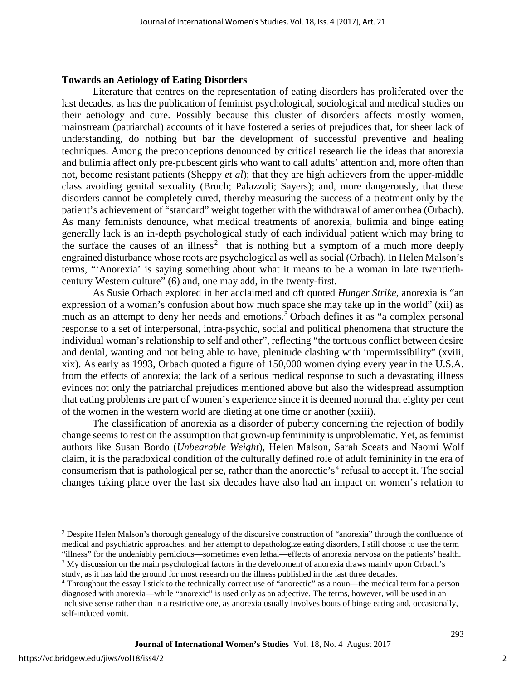#### **Towards an Aetiology of Eating Disorders**

Literature that centres on the representation of eating disorders has proliferated over the last decades, as has the publication of feminist psychological, sociological and medical studies on their aetiology and cure. Possibly because this cluster of disorders affects mostly women, mainstream (patriarchal) accounts of it have fostered a series of prejudices that, for sheer lack of understanding, do nothing but bar the development of successful preventive and healing techniques. Among the preconceptions denounced by critical research lie the ideas that anorexia and bulimia affect only pre-pubescent girls who want to call adults' attention and, more often than not, become resistant patients (Sheppy *et al*); that they are high achievers from the upper-middle class avoiding genital sexuality (Bruch; Palazzoli; Sayers); and, more dangerously, that these disorders cannot be completely cured, thereby measuring the success of a treatment only by the patient's achievement of "standard" weight together with the withdrawal of amenorrhea (Orbach). As many feminists denounce, what medical treatments of anorexia, bulimia and binge eating generally lack is an in-depth psychological study of each individual patient which may bring to the surface the causes of an illness<sup>[2](#page-2-0)</sup> that is nothing but a symptom of a much more deeply engrained disturbance whose roots are psychological as well as social (Orbach). In Helen Malson's terms, "'Anorexia' is saying something about what it means to be a woman in late twentiethcentury Western culture" (6) and, one may add, in the twenty-first.

As Susie Orbach explored in her acclaimed and oft quoted *Hunger Strike*, anorexia is "an expression of a woman's confusion about how much space she may take up in the world" (xii) as much as an attempt to deny her needs and emotions.<sup>[3](#page-2-1)</sup> Orbach defines it as "a complex personal response to a set of interpersonal, intra-psychic, social and political phenomena that structure the individual woman's relationship to self and other", reflecting "the tortuous conflict between desire and denial, wanting and not being able to have, plenitude clashing with impermissibility" (xviii, xix). As early as 1993, Orbach quoted a figure of 150,000 women dying every year in the U.S.A. from the effects of anorexia; the lack of a serious medical response to such a devastating illness evinces not only the patriarchal prejudices mentioned above but also the widespread assumption that eating problems are part of women's experience since it is deemed normal that eighty per cent of the women in the western world are dieting at one time or another (xxiii).

The classification of anorexia as a disorder of puberty concerning the rejection of bodily change seems to rest on the assumption that grown-up femininity is unproblematic. Yet, as feminist authors like Susan Bordo (*Unbearable Weight*), Helen Malson, Sarah Sceats and Naomi Wolf claim, it is the paradoxical condition of the culturally defined role of adult femininity in the era of consumerism that is pathological per se, rather than the anorectic's<sup>[4](#page-2-2)</sup> refusal to accept it. The social changes taking place over the last six decades have also had an impact on women's relation to

l

<span id="page-2-0"></span><sup>&</sup>lt;sup>2</sup> Despite Helen Malson's thorough genealogy of the discursive construction of "anorexia" through the confluence of medical and psychiatric approaches, and her attempt to depathologize eating disorders, I still choose to use the term "illness" for the undeniably pernicious—sometimes even lethal—effects of anorexia nervosa on the patients' health. <sup>3</sup> My discussion on the main psychological factors in the development of anorexia draws mainly upon Orbach's study, as it has laid the ground for most research on the illness published in the last three decades.

<span id="page-2-2"></span><span id="page-2-1"></span><sup>4</sup> Throughout the essay I stick to the technically correct use of "anorectic" as a noun—the medical term for a person diagnosed with anorexia—while "anorexic" is used only as an adjective. The terms, however, will be used in an inclusive sense rather than in a restrictive one, as anorexia usually involves bouts of binge eating and, occasionally, self-induced vomit.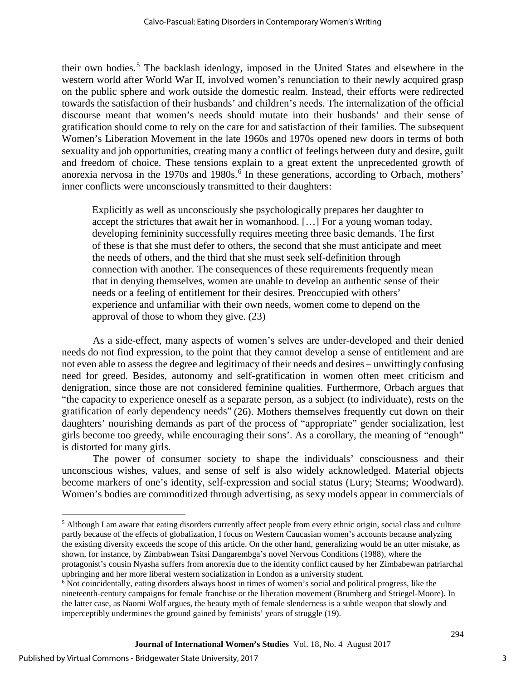their own bodies.[5](#page-3-0) The backlash ideology, imposed in the United States and elsewhere in the western world after World War II, involved women's renunciation to their newly acquired grasp on the public sphere and work outside the domestic realm. Instead, their efforts were redirected towards the satisfaction of their husbands' and children's needs. The internalization of the official discourse meant that women's needs should mutate into their husbands' and their sense of gratification should come to rely on the care for and satisfaction of their families. The subsequent Women's Liberation Movement in the late 1960s and 1970s opened new doors in terms of both sexuality and job opportunities, creating many a conflict of feelings between duty and desire, guilt and freedom of choice. These tensions explain to a great extent the unprecedented growth of anorexia nervosa in the 1970s and 1980s.<sup>[6](#page-3-1)</sup> In these generations, according to Orbach, mothers' inner conflicts were unconsciously transmitted to their daughters:

Explicitly as well as unconsciously she psychologically prepares her daughter to accept the strictures that await her in womanhood. […] For a young woman today, developing femininity successfully requires meeting three basic demands. The first of these is that she must defer to others, the second that she must anticipate and meet the needs of others, and the third that she must seek self-definition through connection with another. The consequences of these requirements frequently mean that in denying themselves, women are unable to develop an authentic sense of their needs or a feeling of entitlement for their desires. Preoccupied with others' experience and unfamiliar with their own needs, women come to depend on the approval of those to whom they give. (23)

As a side-effect, many aspects of women's selves are under-developed and their denied needs do not find expression, to the point that they cannot develop a sense of entitlement and are not even able to assess the degree and legitimacy of their needs and desires – unwittingly confusing need for greed. Besides, autonomy and self-gratification in women often meet criticism and denigration, since those are not considered feminine qualities. Furthermore, Orbach argues that "the capacity to experience oneself as a separate person, as a subject (to individuate), rests on the gratification of early dependency needs" (26). Mothers themselves frequently cut down on their daughters' nourishing demands as part of the process of "appropriate" gender socialization, lest girls become too greedy, while encouraging their sons'. As a corollary, the meaning of "enough" is distorted for many girls.

The power of consumer society to shape the individuals' consciousness and their unconscious wishes, values, and sense of self is also widely acknowledged. Material objects become markers of one's identity, self-expression and social status (Lury; Stearns; Woodward). Women's bodies are commoditized through advertising, as sexy models appear in commercials of

l

<span id="page-3-0"></span><sup>&</sup>lt;sup>5</sup> Although I am aware that eating disorders currently affect people from every ethnic origin, social class and culture partly because of the effects of globalization, I focus on Western Caucasian women's accounts because analyzing the existing diversity exceeds the scope of this article. On the other hand, generalizing would be an utter mistake, as shown, for instance, by Zimbabwean Tsitsi Dangarembga's novel Nervous Conditions (1988), where the protagonist's cousin Nyasha suffers from anorexia due to the identity conflict caused by her Zimbabewan patriarchal upbringing and her more liberal western socialization in London as a university student.

<span id="page-3-1"></span><sup>6</sup> Not coincidentally, eating disorders always boost in times of women's social and political progress, like the nineteenth-century campaigns for female franchise or the liberation movement (Brumberg and Striegel-Moore). In the latter case, as Naomi Wolf argues, the beauty myth of female slenderness is a subtle weapon that slowly and imperceptibly undermines the ground gained by feminists' years of struggle (19).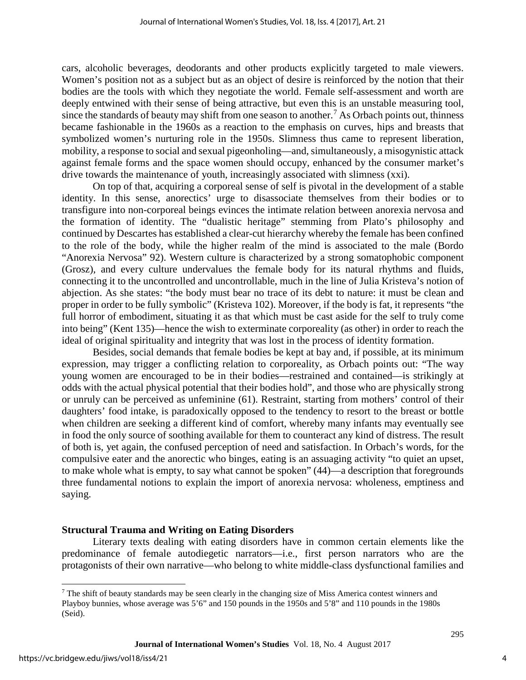cars, alcoholic beverages, deodorants and other products explicitly targeted to male viewers. Women's position not as a subject but as an object of desire is reinforced by the notion that their bodies are the tools with which they negotiate the world. Female self-assessment and worth are deeply entwined with their sense of being attractive, but even this is an unstable measuring tool, since the standards of beauty may shift from one season to another.<sup>[7](#page-4-0)</sup> As Orbach points out, thinness became fashionable in the 1960s as a reaction to the emphasis on curves, hips and breasts that symbolized women's nurturing role in the 1950s. Slimness thus came to represent liberation, mobility, a response to social and sexual pigeonholing—and, simultaneously, a misogynistic attack against female forms and the space women should occupy, enhanced by the consumer market's drive towards the maintenance of youth, increasingly associated with slimness (xxi).

On top of that, acquiring a corporeal sense of self is pivotal in the development of a stable identity. In this sense, anorectics' urge to disassociate themselves from their bodies or to transfigure into non-corporeal beings evinces the intimate relation between anorexia nervosa and the formation of identity. The "dualistic heritage" stemming from Plato's philosophy and continued by Descartes has established a clear-cut hierarchy whereby the female has been confined to the role of the body, while the higher realm of the mind is associated to the male (Bordo "Anorexia Nervosa" 92). Western culture is characterized by a strong somatophobic component (Grosz), and every culture undervalues the female body for its natural rhythms and fluids, connecting it to the uncontrolled and uncontrollable, much in the line of Julia Kristeva's notion of abjection. As she states: "the body must bear no trace of its debt to nature: it must be clean and proper in order to be fully symbolic" (Kristeva 102). Moreover, if the body is fat, it represents "the full horror of embodiment, situating it as that which must be cast aside for the self to truly come into being" (Kent 135)—hence the wish to exterminate corporeality (as other) in order to reach the ideal of original spirituality and integrity that was lost in the process of identity formation.

Besides, social demands that female bodies be kept at bay and, if possible, at its minimum expression, may trigger a conflicting relation to corporeality, as Orbach points out: "The way young women are encouraged to be in their bodies—restrained and contained—is strikingly at odds with the actual physical potential that their bodies hold", and those who are physically strong or unruly can be perceived as unfeminine (61). Restraint, starting from mothers' control of their daughters' food intake, is paradoxically opposed to the tendency to resort to the breast or bottle when children are seeking a different kind of comfort, whereby many infants may eventually see in food the only source of soothing available for them to counteract any kind of distress. The result of both is, yet again, the confused perception of need and satisfaction. In Orbach's words, for the compulsive eater and the anorectic who binges, eating is an assuaging activity "to quiet an upset, to make whole what is empty, to say what cannot be spoken" (44)—a description that foregrounds three fundamental notions to explain the import of anorexia nervosa: wholeness, emptiness and saying.

#### **Structural Trauma and Writing on Eating Disorders**

Literary texts dealing with eating disorders have in common certain elements like the predominance of female autodiegetic narrators—i.e., first person narrators who are the protagonists of their own narrative—who belong to white middle-class dysfunctional families and

l

<span id="page-4-0"></span><sup>&</sup>lt;sup>7</sup> The shift of beauty standards may be seen clearly in the changing size of Miss America contest winners and Playboy bunnies, whose average was 5'6" and 150 pounds in the 1950s and 5'8" and 110 pounds in the 1980s (Seid).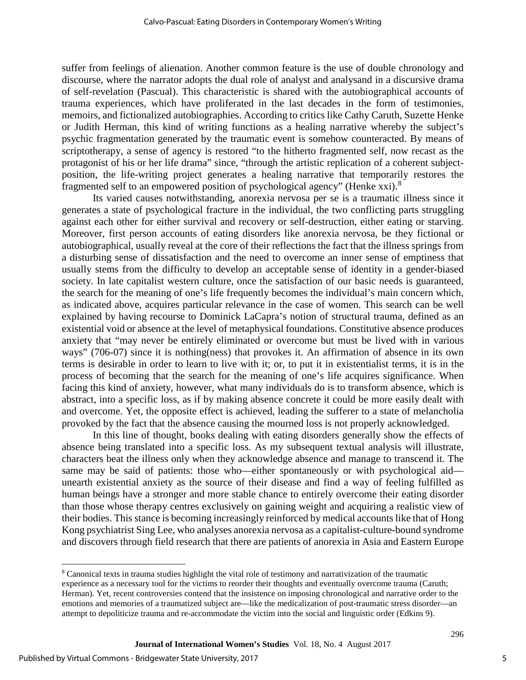suffer from feelings of alienation. Another common feature is the use of double chronology and discourse, where the narrator adopts the dual role of analyst and analysand in a discursive drama of self-revelation (Pascual). This characteristic is shared with the autobiographical accounts of trauma experiences, which have proliferated in the last decades in the form of testimonies, memoirs, and fictionalized autobiographies. According to critics like Cathy Caruth, Suzette Henke or Judith Herman, this kind of writing functions as a healing narrative whereby the subject's psychic fragmentation generated by the traumatic event is somehow counteracted. By means of scriptotherapy, a sense of agency is restored "to the hitherto fragmented self, now recast as the protagonist of his or her life drama" since, "through the artistic replication of a coherent subjectposition, the life-writing project generates a healing narrative that temporarily restores the fragmented self to an empowered position of psychological agency" (Henke xxi).<sup>[8](#page-5-0)</sup>

Its varied causes notwithstanding, anorexia nervosa per se is a traumatic illness since it generates a state of psychological fracture in the individual, the two conflicting parts struggling against each other for either survival and recovery or self-destruction, either eating or starving. Moreover, first person accounts of eating disorders like anorexia nervosa, be they fictional or autobiographical, usually reveal at the core of their reflections the fact that the illness springs from a disturbing sense of dissatisfaction and the need to overcome an inner sense of emptiness that usually stems from the difficulty to develop an acceptable sense of identity in a gender-biased society. In late capitalist western culture, once the satisfaction of our basic needs is guaranteed, the search for the meaning of one's life frequently becomes the individual's main concern which, as indicated above, acquires particular relevance in the case of women. This search can be well explained by having recourse to Dominick LaCapra's notion of structural trauma, defined as an existential void or absence at the level of metaphysical foundations. Constitutive absence produces anxiety that "may never be entirely eliminated or overcome but must be lived with in various ways" (706-07) since it is nothing(ness) that provokes it. An affirmation of absence in its own terms is desirable in order to learn to live with it; or, to put it in existentialist terms, it is in the process of becoming that the search for the meaning of one's life acquires significance. When facing this kind of anxiety, however, what many individuals do is to transform absence, which is abstract, into a specific loss, as if by making absence concrete it could be more easily dealt with and overcome. Yet, the opposite effect is achieved, leading the sufferer to a state of melancholia provoked by the fact that the absence causing the mourned loss is not properly acknowledged.

In this line of thought, books dealing with eating disorders generally show the effects of absence being translated into a specific loss. As my subsequent textual analysis will illustrate, characters beat the illness only when they acknowledge absence and manage to transcend it. The same may be said of patients: those who—either spontaneously or with psychological aid unearth existential anxiety as the source of their disease and find a way of feeling fulfilled as human beings have a stronger and more stable chance to entirely overcome their eating disorder than those whose therapy centres exclusively on gaining weight and acquiring a realistic view of their bodies. This stance is becoming increasingly reinforced by medical accounts like that of Hong Kong psychiatrist Sing Lee, who analyses anorexia nervosa as a capitalist-culture-bound syndrome and discovers through field research that there are patients of anorexia in Asia and Eastern Europe

 $\overline{\phantom{a}}$ 

<span id="page-5-0"></span><sup>8</sup> Canonical texts in trauma studies highlight the vital role of testimony and narrativization of the traumatic experience as a necessary tool for the victims to reorder their thoughts and eventually overcome trauma (Caruth; Herman). Yet, recent controversies contend that the insistence on imposing chronological and narrative order to the emotions and memories of a traumatized subject are—like the medicalization of post-traumatic stress disorder—an attempt to depoliticize trauma and re-accommodate the victim into the social and linguistic order (Edkins 9).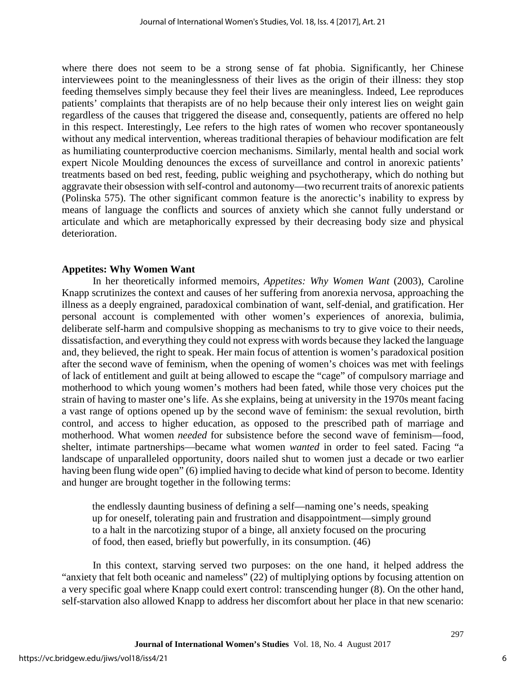where there does not seem to be a strong sense of fat phobia. Significantly, her Chinese interviewees point to the meaninglessness of their lives as the origin of their illness: they stop feeding themselves simply because they feel their lives are meaningless. Indeed, Lee reproduces patients' complaints that therapists are of no help because their only interest lies on weight gain regardless of the causes that triggered the disease and, consequently, patients are offered no help in this respect. Interestingly, Lee refers to the high rates of women who recover spontaneously without any medical intervention, whereas traditional therapies of behaviour modification are felt as humiliating counterproductive coercion mechanisms. Similarly, mental health and social work expert Nicole Moulding denounces the excess of surveillance and control in anorexic patients' treatments based on bed rest, feeding, public weighing and psychotherapy, which do nothing but aggravate their obsession with self-control and autonomy—two recurrent traits of anorexic patients (Polinska 575). The other significant common feature is the anorectic's inability to express by means of language the conflicts and sources of anxiety which she cannot fully understand or articulate and which are metaphorically expressed by their decreasing body size and physical deterioration.

#### **Appetites: Why Women Want**

In her theoretically informed memoirs, *Appetites: Why Women Want* (2003), Caroline Knapp scrutinizes the context and causes of her suffering from anorexia nervosa, approaching the illness as a deeply engrained, paradoxical combination of want, self-denial, and gratification. Her personal account is complemented with other women's experiences of anorexia, bulimia, deliberate self-harm and compulsive shopping as mechanisms to try to give voice to their needs, dissatisfaction, and everything they could not express with words because they lacked the language and, they believed, the right to speak. Her main focus of attention is women's paradoxical position after the second wave of feminism, when the opening of women's choices was met with feelings of lack of entitlement and guilt at being allowed to escape the "cage" of compulsory marriage and motherhood to which young women's mothers had been fated, while those very choices put the strain of having to master one's life. As she explains, being at university in the 1970s meant facing a vast range of options opened up by the second wave of feminism: the sexual revolution, birth control, and access to higher education, as opposed to the prescribed path of marriage and motherhood. What women *needed* for subsistence before the second wave of feminism—food, shelter, intimate partnerships—became what women *wanted* in order to feel sated. Facing "a landscape of unparalleled opportunity, doors nailed shut to women just a decade or two earlier having been flung wide open" (6) implied having to decide what kind of person to become. Identity and hunger are brought together in the following terms:

the endlessly daunting business of defining a self—naming one's needs, speaking up for oneself, tolerating pain and frustration and disappointment—simply ground to a halt in the narcotizing stupor of a binge, all anxiety focused on the procuring of food, then eased, briefly but powerfully, in its consumption. (46)

In this context, starving served two purposes: on the one hand, it helped address the "anxiety that felt both oceanic and nameless" (22) of multiplying options by focusing attention on a very specific goal where Knapp could exert control: transcending hunger (8). On the other hand, self-starvation also allowed Knapp to address her discomfort about her place in that new scenario: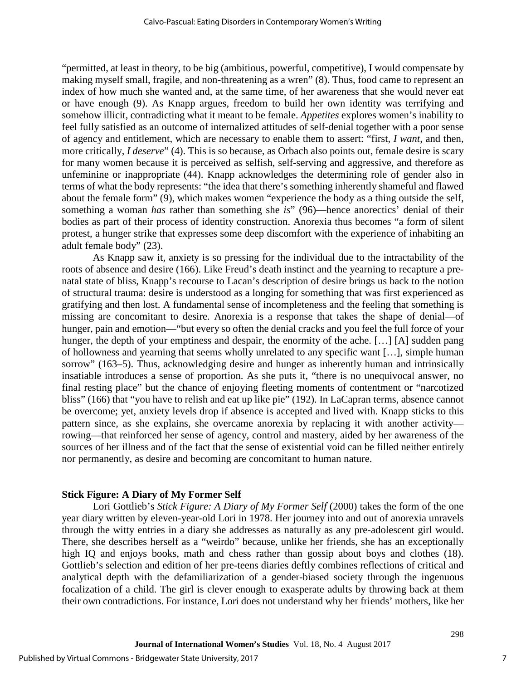"permitted, at least in theory, to be big (ambitious, powerful, competitive), I would compensate by making myself small, fragile, and non-threatening as a wren" (8). Thus, food came to represent an index of how much she wanted and, at the same time, of her awareness that she would never eat or have enough (9). As Knapp argues, freedom to build her own identity was terrifying and somehow illicit, contradicting what it meant to be female. *Appetites* explores women's inability to feel fully satisfied as an outcome of internalized attitudes of self-denial together with a poor sense of agency and entitlement, which are necessary to enable them to assert: "first, *I want*, and then, more critically, *I deserve*" (4). This is so because, as Orbach also points out, female desire is scary for many women because it is perceived as selfish, self-serving and aggressive, and therefore as unfeminine or inappropriate (44). Knapp acknowledges the determining role of gender also in terms of what the body represents: "the idea that there's something inherently shameful and flawed about the female form" (9), which makes women "experience the body as a thing outside the self, something a woman *has* rather than something she *is*" (96)—hence anorectics' denial of their bodies as part of their process of identity construction. Anorexia thus becomes "a form of silent protest, a hunger strike that expresses some deep discomfort with the experience of inhabiting an adult female body" (23).

As Knapp saw it, anxiety is so pressing for the individual due to the intractability of the roots of absence and desire (166). Like Freud's death instinct and the yearning to recapture a prenatal state of bliss, Knapp's recourse to Lacan's description of desire brings us back to the notion of structural trauma: desire is understood as a longing for something that was first experienced as gratifying and then lost. A fundamental sense of incompleteness and the feeling that something is missing are concomitant to desire. Anorexia is a response that takes the shape of denial—of hunger, pain and emotion—"but every so often the denial cracks and you feel the full force of your hunger, the depth of your emptiness and despair, the enormity of the ache. [...] [A] sudden pang of hollowness and yearning that seems wholly unrelated to any specific want […], simple human sorrow" (163–5). Thus, acknowledging desire and hunger as inherently human and intrinsically insatiable introduces a sense of proportion. As she puts it, "there is no unequivocal answer, no final resting place" but the chance of enjoying fleeting moments of contentment or "narcotized bliss" (166) that "you have to relish and eat up like pie" (192). In LaCapran terms, absence cannot be overcome; yet, anxiety levels drop if absence is accepted and lived with. Knapp sticks to this pattern since, as she explains, she overcame anorexia by replacing it with another activity rowing—that reinforced her sense of agency, control and mastery, aided by her awareness of the sources of her illness and of the fact that the sense of existential void can be filled neither entirely nor permanently, as desire and becoming are concomitant to human nature.

#### **Stick Figure: A Diary of My Former Self**

Lori Gottlieb's *Stick Figure: A Diary of My Former Self* (2000) takes the form of the one year diary written by eleven-year-old Lori in 1978. Her journey into and out of anorexia unravels through the witty entries in a diary she addresses as naturally as any pre-adolescent girl would. There, she describes herself as a "weirdo" because, unlike her friends, she has an exceptionally high IQ and enjoys books, math and chess rather than gossip about boys and clothes (18). Gottlieb's selection and edition of her pre-teens diaries deftly combines reflections of critical and analytical depth with the defamiliarization of a gender-biased society through the ingenuous focalization of a child. The girl is clever enough to exasperate adults by throwing back at them their own contradictions. For instance, Lori does not understand why her friends' mothers, like her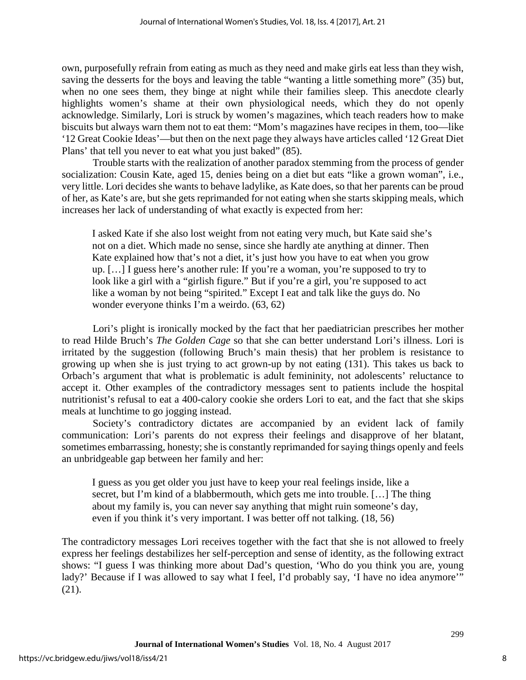own, purposefully refrain from eating as much as they need and make girls eat less than they wish, saving the desserts for the boys and leaving the table "wanting a little something more" (35) but, when no one sees them, they binge at night while their families sleep. This anecdote clearly highlights women's shame at their own physiological needs, which they do not openly acknowledge. Similarly, Lori is struck by women's magazines, which teach readers how to make biscuits but always warn them not to eat them: "Mom's magazines have recipes in them, too—like '12 Great Cookie Ideas'—but then on the next page they always have articles called '12 Great Diet Plans' that tell you never to eat what you just baked" (85).

Trouble starts with the realization of another paradox stemming from the process of gender socialization: Cousin Kate, aged 15, denies being on a diet but eats "like a grown woman", i.e., very little. Lori decides she wants to behave ladylike, as Kate does, so that her parents can be proud of her, as Kate's are, but she gets reprimanded for not eating when she starts skipping meals, which increases her lack of understanding of what exactly is expected from her:

I asked Kate if she also lost weight from not eating very much, but Kate said she's not on a diet. Which made no sense, since she hardly ate anything at dinner. Then Kate explained how that's not a diet, it's just how you have to eat when you grow up. […] I guess here's another rule: If you're a woman, you're supposed to try to look like a girl with a "girlish figure." But if you're a girl, you're supposed to act like a woman by not being "spirited." Except I eat and talk like the guys do. No wonder everyone thinks I'm a weirdo. (63, 62)

Lori's plight is ironically mocked by the fact that her paediatrician prescribes her mother to read Hilde Bruch's *The Golden Cage* so that she can better understand Lori's illness. Lori is irritated by the suggestion (following Bruch's main thesis) that her problem is resistance to growing up when she is just trying to act grown-up by not eating (131). This takes us back to Orbach's argument that what is problematic is adult femininity, not adolescents' reluctance to accept it. Other examples of the contradictory messages sent to patients include the hospital nutritionist's refusal to eat a 400-calory cookie she orders Lori to eat, and the fact that she skips meals at lunchtime to go jogging instead.

Society's contradictory dictates are accompanied by an evident lack of family communication: Lori's parents do not express their feelings and disapprove of her blatant, sometimes embarrassing, honesty; she is constantly reprimanded for saying things openly and feels an unbridgeable gap between her family and her:

I guess as you get older you just have to keep your real feelings inside, like a secret, but I'm kind of a blabbermouth, which gets me into trouble. […] The thing about my family is, you can never say anything that might ruin someone's day, even if you think it's very important. I was better off not talking. (18, 56)

The contradictory messages Lori receives together with the fact that she is not allowed to freely express her feelings destabilizes her self-perception and sense of identity, as the following extract shows: "I guess I was thinking more about Dad's question, 'Who do you think you are, young lady?' Because if I was allowed to say what I feel, I'd probably say, 'I have no idea anymore'" (21).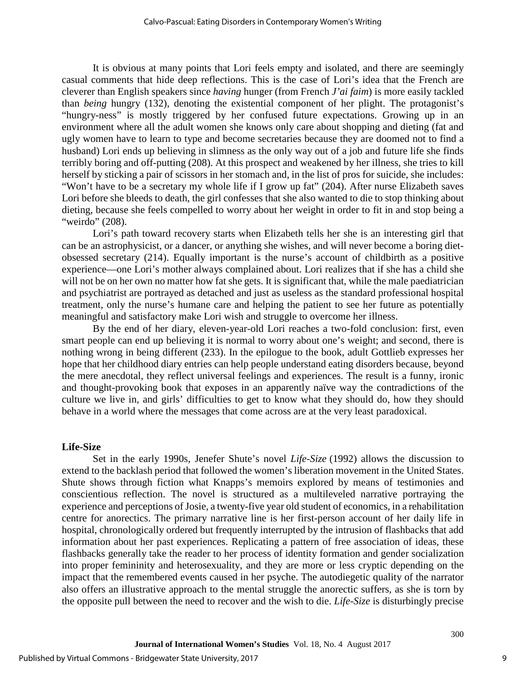It is obvious at many points that Lori feels empty and isolated, and there are seemingly casual comments that hide deep reflections. This is the case of Lori's idea that the French are cleverer than English speakers since *having* hunger (from French *J'ai faim*) is more easily tackled than *being* hungry (132), denoting the existential component of her plight. The protagonist's "hungry-ness" is mostly triggered by her confused future expectations. Growing up in an environment where all the adult women she knows only care about shopping and dieting (fat and ugly women have to learn to type and become secretaries because they are doomed not to find a husband) Lori ends up believing in slimness as the only way out of a job and future life she finds terribly boring and off-putting (208). At this prospect and weakened by her illness, she tries to kill herself by sticking a pair of scissors in her stomach and, in the list of pros for suicide, she includes: "Won't have to be a secretary my whole life if I grow up fat" (204). After nurse Elizabeth saves Lori before she bleeds to death, the girl confesses that she also wanted to die to stop thinking about dieting, because she feels compelled to worry about her weight in order to fit in and stop being a "weirdo" (208).

Lori's path toward recovery starts when Elizabeth tells her she is an interesting girl that can be an astrophysicist, or a dancer, or anything she wishes, and will never become a boring dietobsessed secretary (214). Equally important is the nurse's account of childbirth as a positive experience—one Lori's mother always complained about. Lori realizes that if she has a child she will not be on her own no matter how fat she gets. It is significant that, while the male paediatrician and psychiatrist are portrayed as detached and just as useless as the standard professional hospital treatment, only the nurse's humane care and helping the patient to see her future as potentially meaningful and satisfactory make Lori wish and struggle to overcome her illness.

By the end of her diary, eleven-year-old Lori reaches a two-fold conclusion: first, even smart people can end up believing it is normal to worry about one's weight; and second, there is nothing wrong in being different (233). In the epilogue to the book, adult Gottlieb expresses her hope that her childhood diary entries can help people understand eating disorders because, beyond the mere anecdotal, they reflect universal feelings and experiences. The result is a funny, ironic and thought-provoking book that exposes in an apparently naïve way the contradictions of the culture we live in, and girls' difficulties to get to know what they should do, how they should behave in a world where the messages that come across are at the very least paradoxical.

#### **Life-Size**

Set in the early 1990s, Jenefer Shute's novel *Life-Size* (1992) allows the discussion to extend to the backlash period that followed the women's liberation movement in the United States. Shute shows through fiction what Knapps's memoirs explored by means of testimonies and conscientious reflection. The novel is structured as a multileveled narrative portraying the experience and perceptions of Josie, a twenty-five year old student of economics, in a rehabilitation centre for anorectics. The primary narrative line is her first-person account of her daily life in hospital, chronologically ordered but frequently interrupted by the intrusion of flashbacks that add information about her past experiences. Replicating a pattern of free association of ideas, these flashbacks generally take the reader to her process of identity formation and gender socialization into proper femininity and heterosexuality, and they are more or less cryptic depending on the impact that the remembered events caused in her psyche. The autodiegetic quality of the narrator also offers an illustrative approach to the mental struggle the anorectic suffers, as she is torn by the opposite pull between the need to recover and the wish to die. *Life-Size* is disturbingly precise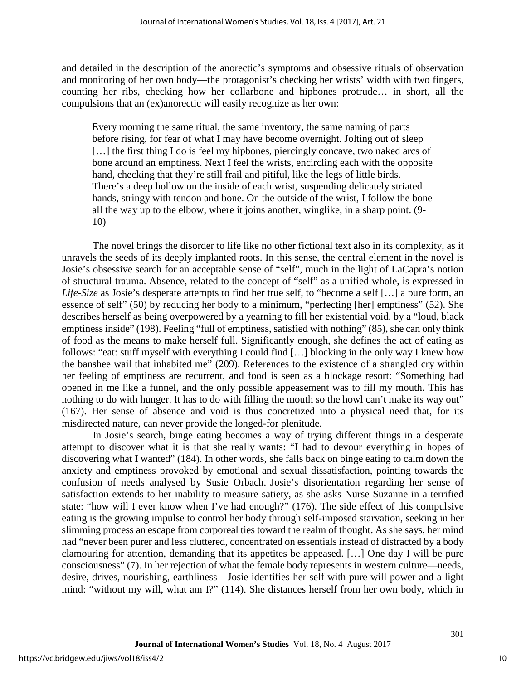and detailed in the description of the anorectic's symptoms and obsessive rituals of observation and monitoring of her own body—the protagonist's checking her wrists' width with two fingers, counting her ribs, checking how her collarbone and hipbones protrude… in short, all the compulsions that an (ex)anorectic will easily recognize as her own:

Every morning the same ritual, the same inventory, the same naming of parts before rising, for fear of what I may have become overnight. Jolting out of sleep [...] the first thing I do is feel my hipbones, piercingly concave, two naked arcs of bone around an emptiness. Next I feel the wrists, encircling each with the opposite hand, checking that they're still frail and pitiful, like the legs of little birds. There's a deep hollow on the inside of each wrist, suspending delicately striated hands, stringy with tendon and bone. On the outside of the wrist, I follow the bone all the way up to the elbow, where it joins another, winglike, in a sharp point. (9- 10)

The novel brings the disorder to life like no other fictional text also in its complexity, as it unravels the seeds of its deeply implanted roots. In this sense, the central element in the novel is Josie's obsessive search for an acceptable sense of "self", much in the light of LaCapra's notion of structural trauma. Absence, related to the concept of "self" as a unified whole, is expressed in *Life-Size* as Josie's desperate attempts to find her true self, to "become a self […] a pure form, an essence of self" (50) by reducing her body to a minimum, "perfecting [her] emptiness" (52). She describes herself as being overpowered by a yearning to fill her existential void, by a "loud, black emptiness inside" (198). Feeling "full of emptiness, satisfied with nothing" (85), she can only think of food as the means to make herself full. Significantly enough, she defines the act of eating as follows: "eat: stuff myself with everything I could find […] blocking in the only way I knew how the banshee wail that inhabited me" (209). References to the existence of a strangled cry within her feeling of emptiness are recurrent, and food is seen as a blockage resort: "Something had opened in me like a funnel, and the only possible appeasement was to fill my mouth. This has nothing to do with hunger. It has to do with filling the mouth so the howl can't make its way out" (167). Her sense of absence and void is thus concretized into a physical need that, for its misdirected nature, can never provide the longed-for plenitude.

In Josie's search, binge eating becomes a way of trying different things in a desperate attempt to discover what it is that she really wants: "I had to devour everything in hopes of discovering what I wanted" (184). In other words, she falls back on binge eating to calm down the anxiety and emptiness provoked by emotional and sexual dissatisfaction, pointing towards the confusion of needs analysed by Susie Orbach. Josie's disorientation regarding her sense of satisfaction extends to her inability to measure satiety, as she asks Nurse Suzanne in a terrified state: "how will I ever know when I've had enough?" (176). The side effect of this compulsive eating is the growing impulse to control her body through self-imposed starvation, seeking in her slimming process an escape from corporeal ties toward the realm of thought. As she says, her mind had "never been purer and less cluttered, concentrated on essentials instead of distracted by a body clamouring for attention, demanding that its appetites be appeased. […] One day I will be pure consciousness" (7). In her rejection of what the female body represents in western culture—needs, desire, drives, nourishing, earthliness—Josie identifies her self with pure will power and a light mind: "without my will, what am I?" (114). She distances herself from her own body, which in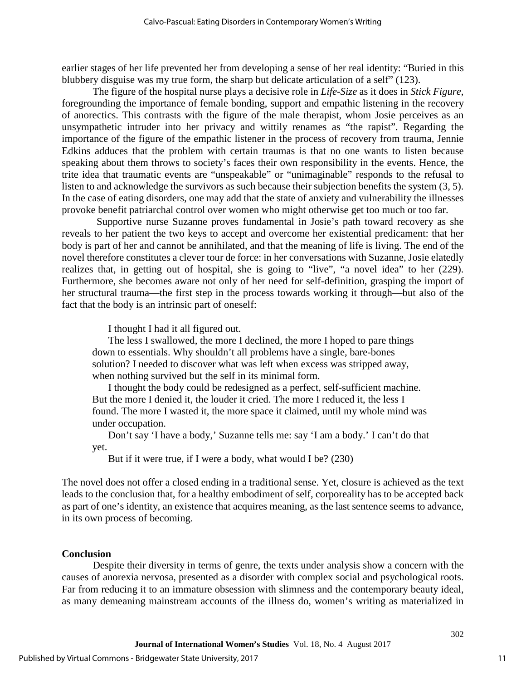earlier stages of her life prevented her from developing a sense of her real identity: "Buried in this blubbery disguise was my true form, the sharp but delicate articulation of a self" (123).

The figure of the hospital nurse plays a decisive role in *Life-Size* as it does in *Stick Figure*, foregrounding the importance of female bonding, support and empathic listening in the recovery of anorectics. This contrasts with the figure of the male therapist, whom Josie perceives as an unsympathetic intruder into her privacy and wittily renames as "the rapist". Regarding the importance of the figure of the empathic listener in the process of recovery from trauma, Jennie Edkins adduces that the problem with certain traumas is that no one wants to listen because speaking about them throws to society's faces their own responsibility in the events. Hence, the trite idea that traumatic events are "unspeakable" or "unimaginable" responds to the refusal to listen to and acknowledge the survivors as such because their subjection benefits the system (3, 5). In the case of eating disorders, one may add that the state of anxiety and vulnerability the illnesses provoke benefit patriarchal control over women who might otherwise get too much or too far.

Supportive nurse Suzanne proves fundamental in Josie's path toward recovery as she reveals to her patient the two keys to accept and overcome her existential predicament: that her body is part of her and cannot be annihilated, and that the meaning of life is living. The end of the novel therefore constitutes a clever tour de force: in her conversations with Suzanne, Josie elatedly realizes that, in getting out of hospital, she is going to "live", "a novel idea" to her (229). Furthermore, she becomes aware not only of her need for self-definition, grasping the import of her structural trauma—the first step in the process towards working it through—but also of the fact that the body is an intrinsic part of oneself:

I thought I had it all figured out.

The less I swallowed, the more I declined, the more I hoped to pare things down to essentials. Why shouldn't all problems have a single, bare-bones solution? I needed to discover what was left when excess was stripped away, when nothing survived but the self in its minimal form.

I thought the body could be redesigned as a perfect, self-sufficient machine. But the more I denied it, the louder it cried. The more I reduced it, the less I found. The more I wasted it, the more space it claimed, until my whole mind was under occupation.

Don't say 'I have a body,' Suzanne tells me: say 'I am a body.' I can't do that yet.

But if it were true, if I were a body, what would I be? (230)

The novel does not offer a closed ending in a traditional sense. Yet, closure is achieved as the text leads to the conclusion that, for a healthy embodiment of self, corporeality has to be accepted back as part of one's identity, an existence that acquires meaning, as the last sentence seems to advance, in its own process of becoming.

#### **Conclusion**

Despite their diversity in terms of genre, the texts under analysis show a concern with the causes of anorexia nervosa, presented as a disorder with complex social and psychological roots. Far from reducing it to an immature obsession with slimness and the contemporary beauty ideal, as many demeaning mainstream accounts of the illness do, women's writing as materialized in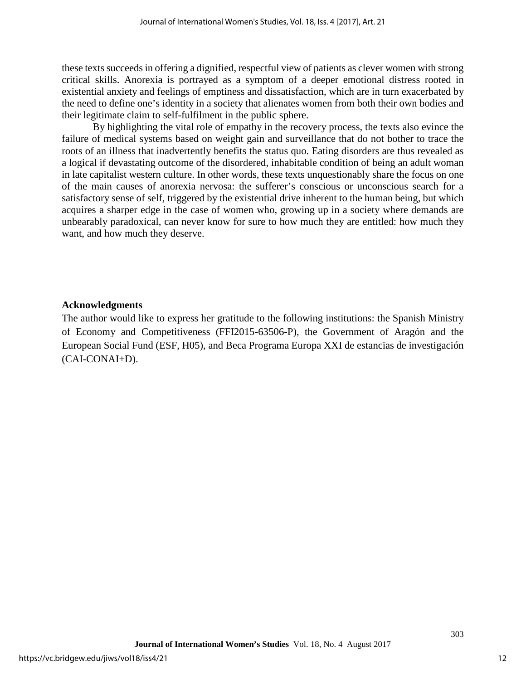these texts succeeds in offering a dignified, respectful view of patients as clever women with strong critical skills. Anorexia is portrayed as a symptom of a deeper emotional distress rooted in existential anxiety and feelings of emptiness and dissatisfaction, which are in turn exacerbated by the need to define one's identity in a society that alienates women from both their own bodies and their legitimate claim to self-fulfilment in the public sphere.

By highlighting the vital role of empathy in the recovery process, the texts also evince the failure of medical systems based on weight gain and surveillance that do not bother to trace the roots of an illness that inadvertently benefits the status quo. Eating disorders are thus revealed as a logical if devastating outcome of the disordered, inhabitable condition of being an adult woman in late capitalist western culture. In other words, these texts unquestionably share the focus on one of the main causes of anorexia nervosa: the sufferer's conscious or unconscious search for a satisfactory sense of self, triggered by the existential drive inherent to the human being, but which acquires a sharper edge in the case of women who, growing up in a society where demands are unbearably paradoxical, can never know for sure to how much they are entitled: how much they want, and how much they deserve.

#### **Acknowledgments**

The author would like to express her gratitude to the following institutions: the Spanish Ministry of Economy and Competitiveness (FFI2015-63506-P), the Government of Aragón and the European Social Fund (ESF, H05), and Beca Programa Europa XXI de estancias de investigación (CAI-CONAI+D).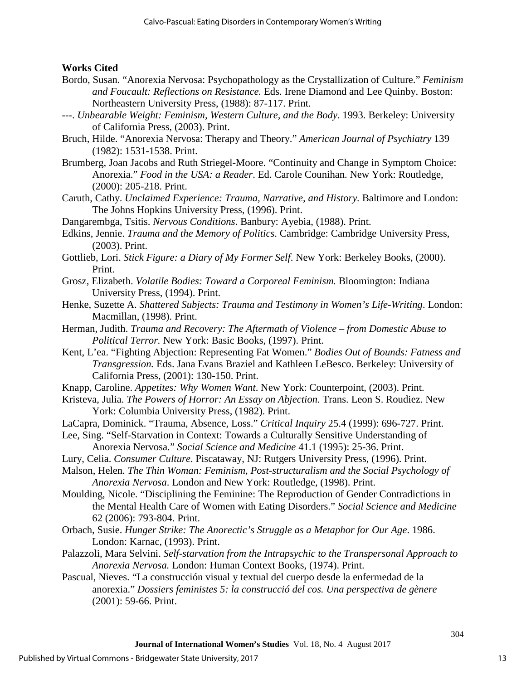### **Works Cited**

- Bordo, Susan. "Anorexia Nervosa: Psychopathology as the Crystallization of Culture." *Feminism and Foucault: Reflections on Resistance.* Eds. Irene Diamond and Lee Quinby. Boston: Northeastern University Press, (1988): 87-117. Print.
- ---. *Unbearable Weight: Feminism, Western Culture, and the Body*. 1993. Berkeley: University of California Press, (2003). Print.
- Bruch, Hilde. "Anorexia Nervosa: Therapy and Theory." *American Journal of Psychiatry* 139 (1982): 1531-1538. Print.
- Brumberg, Joan Jacobs and Ruth Striegel-Moore. "Continuity and Change in Symptom Choice: Anorexia." *Food in the USA: a Reader*. Ed. Carole Counihan. New York: Routledge, (2000): 205-218. Print.
- Caruth, Cathy. *Unclaimed Experience: Trauma, Narrative, and History.* Baltimore and London: The Johns Hopkins University Press, (1996). Print.
- Dangarembga, Tsitis. *Nervous Conditions*. Banbury: Ayebia, (1988). Print.
- Edkins, Jennie. *Trauma and the Memory of Politics*. Cambridge: Cambridge University Press, (2003). Print.
- Gottlieb, Lori. *Stick Figure: a Diary of My Former Self*. New York: Berkeley Books, (2000). Print.
- Grosz, Elizabeth. *Volatile Bodies: Toward a Corporeal Feminism.* Bloomington: Indiana University Press, (1994). Print.
- Henke, Suzette A. *Shattered Subjects: Trauma and Testimony in Women's Life-Writing*. London: Macmillan, (1998). Print.
- Herman, Judith. *Trauma and Recovery: The Aftermath of Violence from Domestic Abuse to Political Terror.* New York: Basic Books, (1997). Print.
- Kent, L'ea. "Fighting Abjection: Representing Fat Women." *Bodies Out of Bounds: Fatness and Transgression.* Eds. Jana Evans Braziel and Kathleen LeBesco. Berkeley: University of California Press, (2001): 130-150. Print.
- Knapp, Caroline. *Appetites: Why Women Want*. New York: Counterpoint, (2003). Print.
- Kristeva, Julia. *The Powers of Horror: An Essay on Abjection*. Trans. Leon S. Roudiez. New York: Columbia University Press, (1982). Print.
- LaCapra, Dominick. "Trauma, Absence, Loss." *Critical Inquiry* 25.4 (1999): 696-727. Print.
- Lee, Sing. "Self-Starvation in Context: Towards a Culturally Sensitive Understanding of Anorexia Nervosa." *Social Science and Medicine* 41.1 (1995): 25-36. Print.
- Lury, Celia. *Consumer Culture*. Piscataway, NJ: Rutgers University Press, (1996). Print.
- Malson, Helen. *The Thin Woman: Feminism, Post-structuralism and the Social Psychology of Anorexia Nervosa*. London and New York: Routledge, (1998). Print.
- Moulding, Nicole. "Disciplining the Feminine: The Reproduction of Gender Contradictions in the Mental Health Care of Women with Eating Disorders." *Social Science and Medicine* 62 (2006): 793-804. Print.
- Orbach, Susie. *Hunger Strike: The Anorectic's Struggle as a Metaphor for Our Age*. 1986. London: Karnac, (1993). Print.
- Palazzoli, Mara Selvini. *Self-starvation from the Intrapsychic to the Transpersonal Approach to Anorexia Nervosa.* London: Human Context Books, (1974). Print.
- Pascual, Nieves. "La construcción visual y textual del cuerpo desde la enfermedad de la anorexia." *Dossiers feministes 5: la construcció del cos. Una perspectiva de gènere* (2001): 59-66. Print.